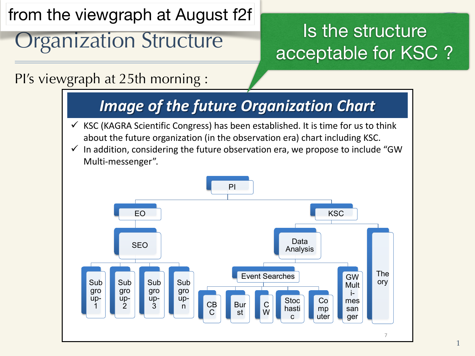from the viewgraph at August f2f

# Organization Structure

## Is the structure acceptable for KSC ?

PI's viewgraph at 25th morning :



1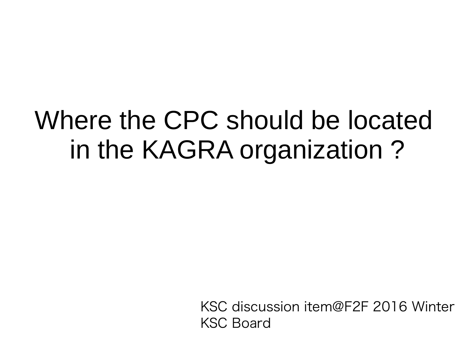## Where the CPC should be located in the KAGRA organization?

KSC discussion item@F2F 2016 Winter **KSC Board**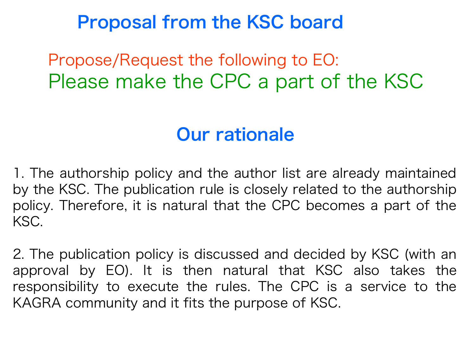#### **Proposal from the KSC board**

Propose/Request the following to EO: Please make the CPC a part of the KSC

#### **Our rationale**

1. The authorship policy and the author list are already maintained by the KSC. The publication rule is closely related to the authorship policy. Therefore, it is natural that the CPC becomes a part of the KSC.

2. The publication policy is discussed and decided by KSC (with an approval by EO). It is then natural that KSC also takes the responsibility to execute the rules. The CPC is a service to the KAGRA community and it fits the purpose of KSC.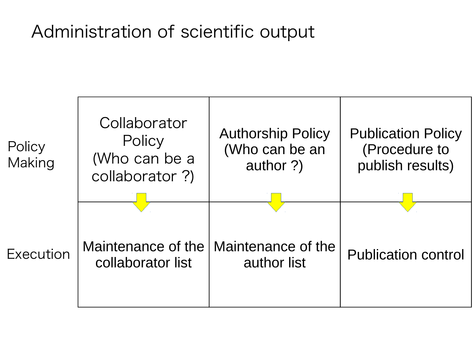#### Administration of scientific output

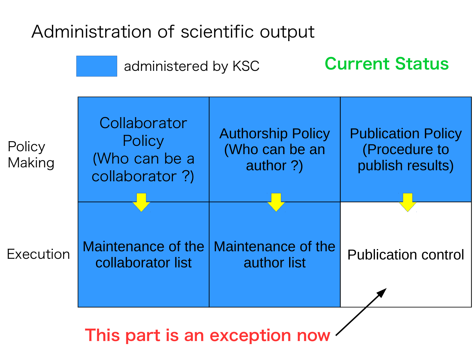### Administration of scientific output



This part is an exception now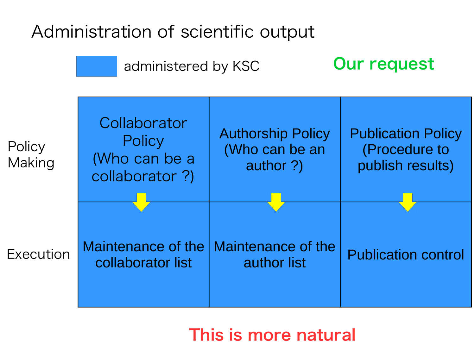### Administration of scientific output



#### This is more natural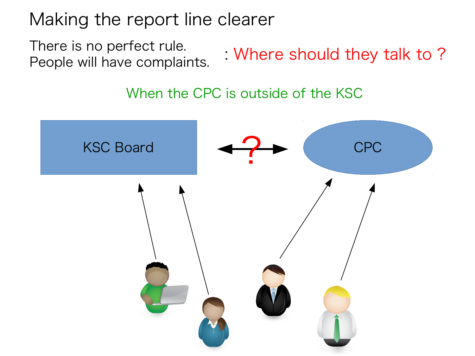Making the report line clearer

There is no perfect rule. Where should they talk to? People will have complaints.

When the CPC is outside of the KSC